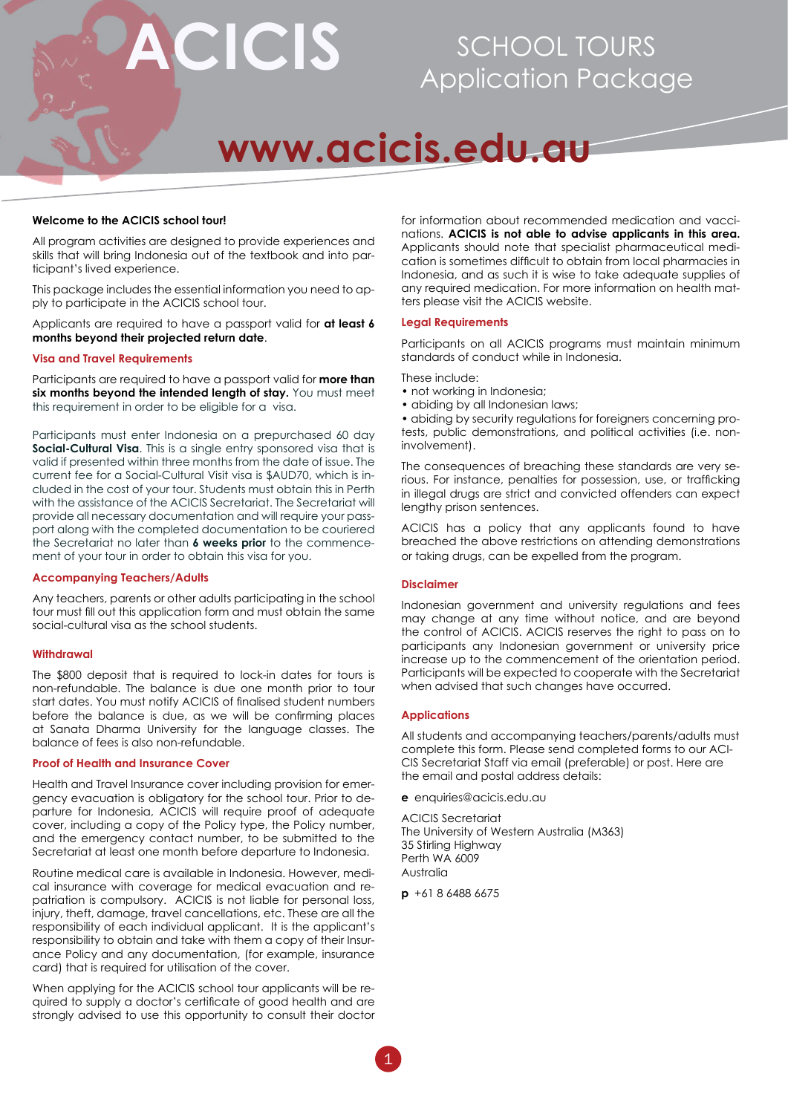

## SCHOOL TOURS Application Package

# **www.acicis.edu.au**

#### **Welcome to the ACICIS school tour!**

All program activities are designed to provide experiences and skills that will bring Indonesia out of the textbook and into participant's lived experience.

This package includes the essential information you need to apply to participate in the ACICIS school tour.

Applicants are required to have a passport valid for **at least 6 months beyond their projected return date**.

#### **Visa and Travel Requirements**

Participants are required to have a passport valid for **more than**  six months beyond the intended length of stay. You must meet this requirement in order to be eligible for a visa.

Participants must enter Indonesia on a prepurchased 60 day **Social-Cultural Visa.** This is a single entry sponsored visa that is valid if presented within three months from the date of issue. The current fee for a Social-Cultural Visit visa is \$AUD70, which is included in the cost of your tour. Students must obtain this in Perth with the assistance of the ACICIS Secretariat. The Secretariat will provide all necessary documentation and will require your passport along with the completed documentation to be couriered the Secretariat no later than **6 weeks prior** to the commencement of your tour in order to obtain this visa for you.

#### **Accompanying Teachers/Adults**

Any teachers, parents or other adults participating in the school tour must fill out this application form and must obtain the same social-cultural visa as the school students.

#### **Withdrawal**

The \$800 deposit that is required to lock-in dates for tours is non-refundable. The balance is due one month prior to tour start dates. You must notify ACICIS of finalised student numbers before the balance is due, as we will be confirming places at Sanata Dharma University for the language classes. The balance of fees is also non-refundable.

#### **Proof of Health and Insurance Cover**

Health and Travel Insurance cover including provision for emergency evacuation is obligatory for the school tour. Prior to departure for Indonesia, ACICIS will require proof of adequate cover, including a copy of the Policy type, the Policy number, and the emergency contact number, to be submitted to the Secretariat at least one month before departure to Indonesia.

Routine medical care is available in Indonesia. However, medical insurance with coverage for medical evacuation and repatriation is compulsory. ACICIS is not liable for personal loss, injury, theft, damage, travel cancellations, etc. These are all the responsibility of each individual applicant. It is the applicant's responsibility to obtain and take with them a copy of their Insurance Policy and any documentation, (for example, insurance card) that is required for utilisation of the cover.

When applying for the ACICIS school tour applicants will be required to supply a doctor's certificate of good health and are strongly advised to use this opportunity to consult their doctor for information about recommended medication and vaccinations. **ACICIS is not able to advise applicants in this area.** Applicants should note that specialist pharmaceutical medication is sometimes difficult to obtain from local pharmacies in Indonesia, and as such it is wise to take adequate supplies of any required medication. For more information on health matters please visit the ACICIS website.

#### **Legal Requirements**

Participants on all ACICIS programs must maintain minimum standards of conduct while in Indonesia.

These include:

- not working in Indonesia;
- abiding by all Indonesian laws;

• abiding by security regulations for foreigners concerning protests, public demonstrations, and political activities (i.e. noninvolvement).

The consequences of breaching these standards are very serious. For instance, penalties for possession, use, or trafficking in illegal drugs are strict and convicted offenders can expect lengthy prison sentences.

ACICIS has a policy that any applicants found to have breached the above restrictions on attending demonstrations or taking drugs, can be expelled from the program.

#### **Disclaimer**

Indonesian government and university regulations and fees may change at any time without notice, and are beyond the control of ACICIS. ACICIS reserves the right to pass on to participants any Indonesian government or university price increase up to the commencement of the orientation period. Participants will be expected to cooperate with the Secretariat when advised that such changes have occurred.

#### **Applications**

All students and accompanying teachers/parents/adults must complete this form. Please send completed forms to our ACI-CIS Secretariat Staff via email (preferable) or post. Here are the email and postal address details:

**e** enquiries@acicis.edu.au

ACICIS Secretariat The University of Western Australia (M363) 35 Stirling Highway Perth WA 6009 Australia

**p** +61 8 6488 6675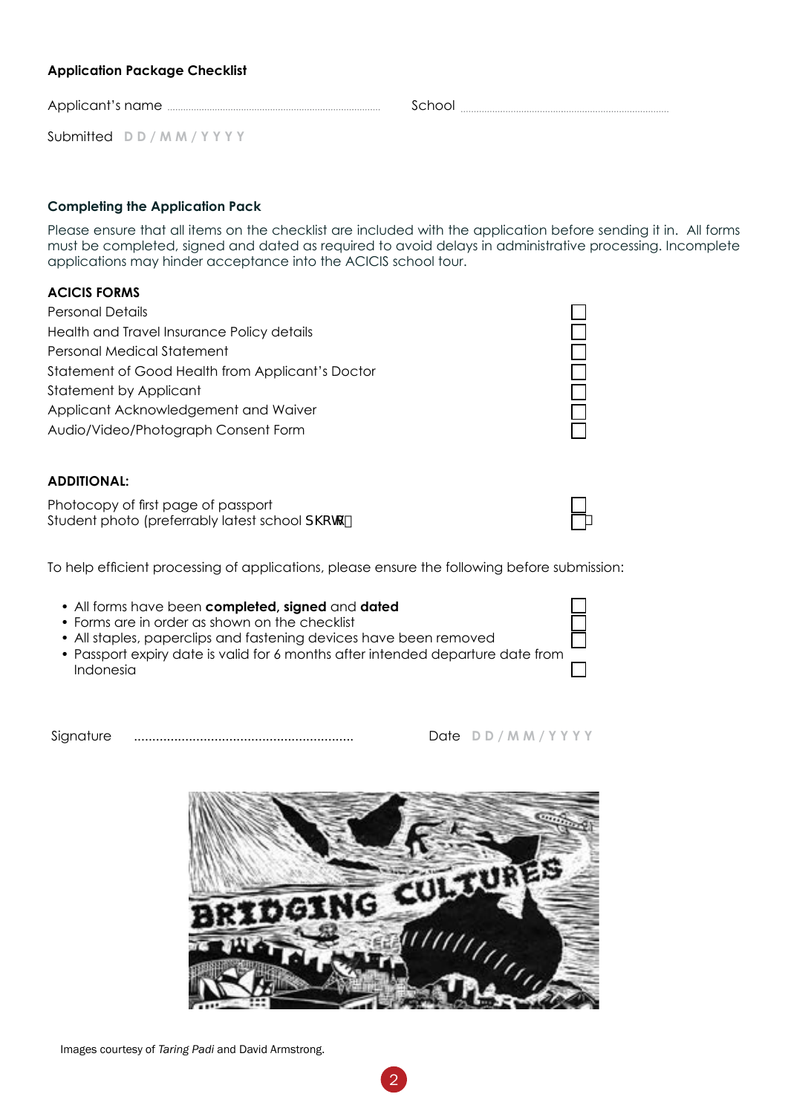Images courtesy of *Taring Padi* and David Armstrong.

### **Application Package Checklist**

Applicant's name School

Submitted **D D / M M / Y Y Y Y**

### **Completing the Application Pack**

Please ensure that all items on the checklist are included with the application before sending it in. All forms must be completed, signed and dated as required to avoid delays in administrative processing. Incomplete applications may hinder acceptance into the ACICIS school tour.

#### **ACICIS FORMS**

Personal Details  $\Box$ Health and Travel Insurance Policy details Personal Medical Statement Statement of Good Health from Applicant's Doctor Statement by Applicant Applicant Acknowledgement and Waiver Audio/Video/Photograph Consent Form

#### **ADDITIONAL:**

Photocopy of first page of passport Student photo (preferrably latest school  $d \csc k$ 

To help efficient processing of applications, please ensure the following before submission:

- All forms have been **completed, signed** and **dated** �
- Forms are in order as shown on the checklist
- All staples, paperclips and fastening devices have been removed
- Passport expiry date is valid for 6 months after intended departure date from Indonesia �

Signature ............................................................ Date **D D / M M / Y Y Y Y**

| G. | $\mathbf{G}$<br>ч |       |  |
|----|-------------------|-------|--|
|    |                   | IIIII |  |
|    |                   |       |  |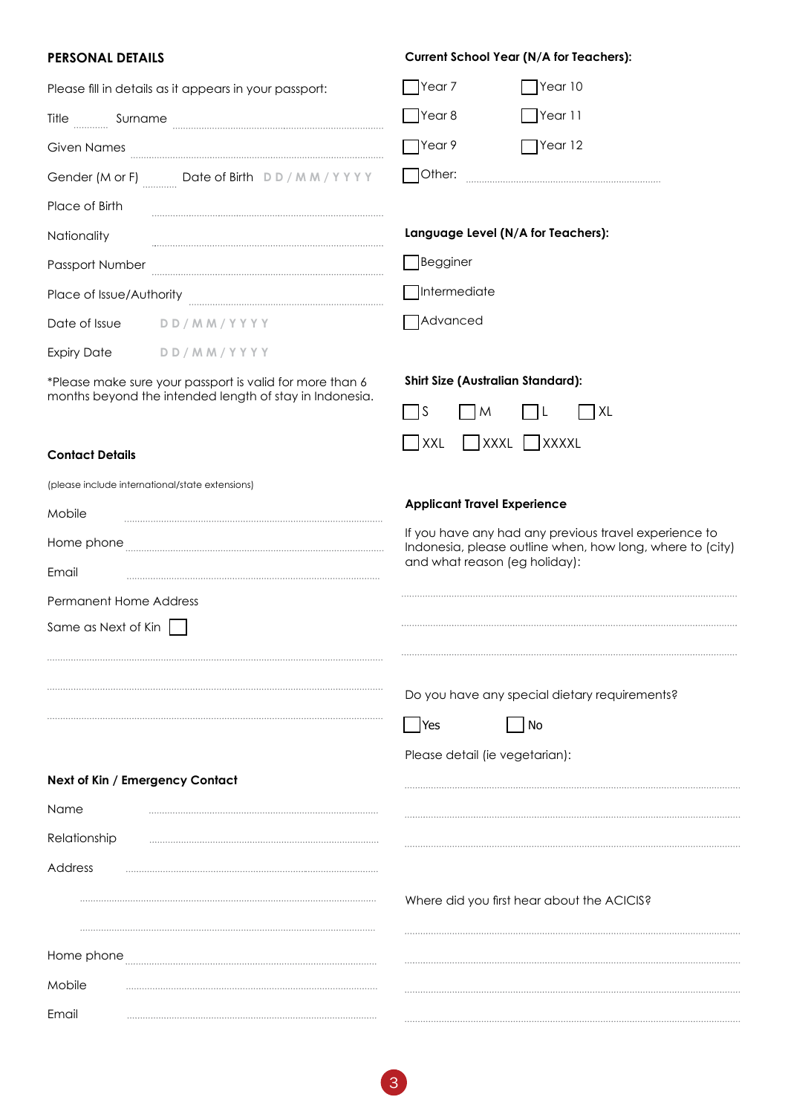| <b>PERSONAL DETAILS</b>                                                                                             | <b>Current School Year (N/A for Teachers):</b>                                                                                                      |
|---------------------------------------------------------------------------------------------------------------------|-----------------------------------------------------------------------------------------------------------------------------------------------------|
| Please fill in details as it appears in your passport:                                                              | Year 10<br>Year 7                                                                                                                                   |
| Title Surname                                                                                                       | $\bigcap$ Year 8<br>Year 11                                                                                                                         |
| Given Names                                                                                                         | $\gamma$ ear 12<br>Year 9                                                                                                                           |
| Gender (M or F) __________ Date of Birth DD/MM/YYYY                                                                 | Other:                                                                                                                                              |
| Place of Birth                                                                                                      |                                                                                                                                                     |
| Nationality                                                                                                         | Language Level (N/A for Teachers):                                                                                                                  |
| Passport Number                                                                                                     | Begginer                                                                                                                                            |
| Place of Issue/Authority                                                                                            | $\Box$ Intermediate                                                                                                                                 |
| Date of Issue<br>DD/MM/YYYY                                                                                         | Advanced                                                                                                                                            |
| <b>Expiry Date</b><br>DD/MM/YYYY                                                                                    |                                                                                                                                                     |
| *Please make sure your passport is valid for more than 6<br>months beyond the intended length of stay in Indonesia. | <b>Shirt Size (Australian Standard):</b>                                                                                                            |
|                                                                                                                     | S<br> XL<br>M<br>ΙL                                                                                                                                 |
| <b>Contact Details</b>                                                                                              | $\blacksquare$ XXXL<br>$\Box$ XXXXL<br> XXL                                                                                                         |
| (please include international/state extensions)                                                                     |                                                                                                                                                     |
| Mobile                                                                                                              | <b>Applicant Travel Experience</b>                                                                                                                  |
| Home phone<br>Email                                                                                                 | If you have any had any previous travel experience to<br>Indonesia, please outline when, how long, where to (city)<br>and what reason (eg holiday): |
| <b>Permanent Home Address</b>                                                                                       |                                                                                                                                                     |
| Same as Next of Kin                                                                                                 |                                                                                                                                                     |
|                                                                                                                     |                                                                                                                                                     |
|                                                                                                                     | Do you have any special dietary requirements?                                                                                                       |
|                                                                                                                     | No<br>Yes                                                                                                                                           |
|                                                                                                                     | Please detail (ie vegetarian):                                                                                                                      |
| Next of Kin / Emergency Contact                                                                                     |                                                                                                                                                     |
| Name                                                                                                                |                                                                                                                                                     |
| Relationship                                                                                                        |                                                                                                                                                     |
| Address                                                                                                             |                                                                                                                                                     |
|                                                                                                                     | Where did you first hear about the ACICIS?                                                                                                          |
|                                                                                                                     |                                                                                                                                                     |
| Home phone                                                                                                          |                                                                                                                                                     |

. . . . . . . . . . . . . . . . .

Mobile

Email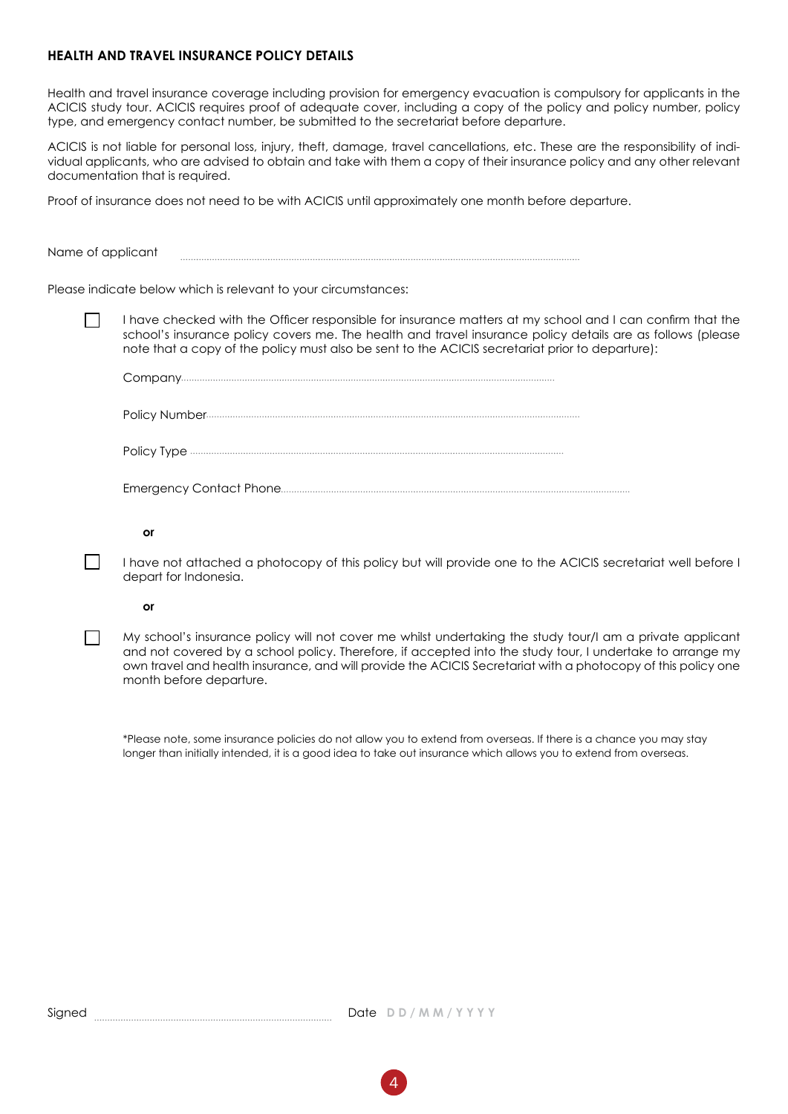#### **HEALTH AND TRAVEL INSURANCE POLICY DETAILS**

Health and travel insurance coverage including provision for emergency evacuation is compulsory for applicants in the ACICIS study tour. ACICIS requires proof of adequate cover, including a copy of the policy and policy number, policy type, and emergency contact number, be submitted to the secretariat before departure.

ACICIS is not liable for personal loss, injury, theft, damage, travel cancellations, etc. These are the responsibility of individual applicants, who are advised to obtain and take with them a copy of their insurance policy and any other relevant documentation that is required.

Proof of insurance does not need to be with ACICIS until approximately one month before departure.

Name of applicant 

Please indicate below which is relevant to your circumstances:

� I have checked with the Officer responsible for insurance matters at my school and I can confirm that the school's insurance policy covers me. The health and travel insurance policy details are as follows (please note that a copy of the policy must also be sent to the ACICIS secretariat prior to departure):

 Company Policy Number Policy Type Emergency Contact Phone

#### **or or**

� I have not attached a photocopy of this policy but will provide one to the ACICIS secretariat well before I depart for Indonesia.

#### **or or**

 $\Box$  My school's insurance policy will not cover me whilst undertaking the study tour/I am a private applicant and not covered by a school policy. Therefore, if accepted into the study tour, I undertake to arrange my own travel and health insurance, and will provide the ACICIS Secretariat with a photocopy of this policy one month before departure.

 \*Please note, some insurance policies do not allow you to extend from overseas. If there is a chance you may stay longer than initially intended, it is a good idea to take out insurance which allows you to extend from overseas.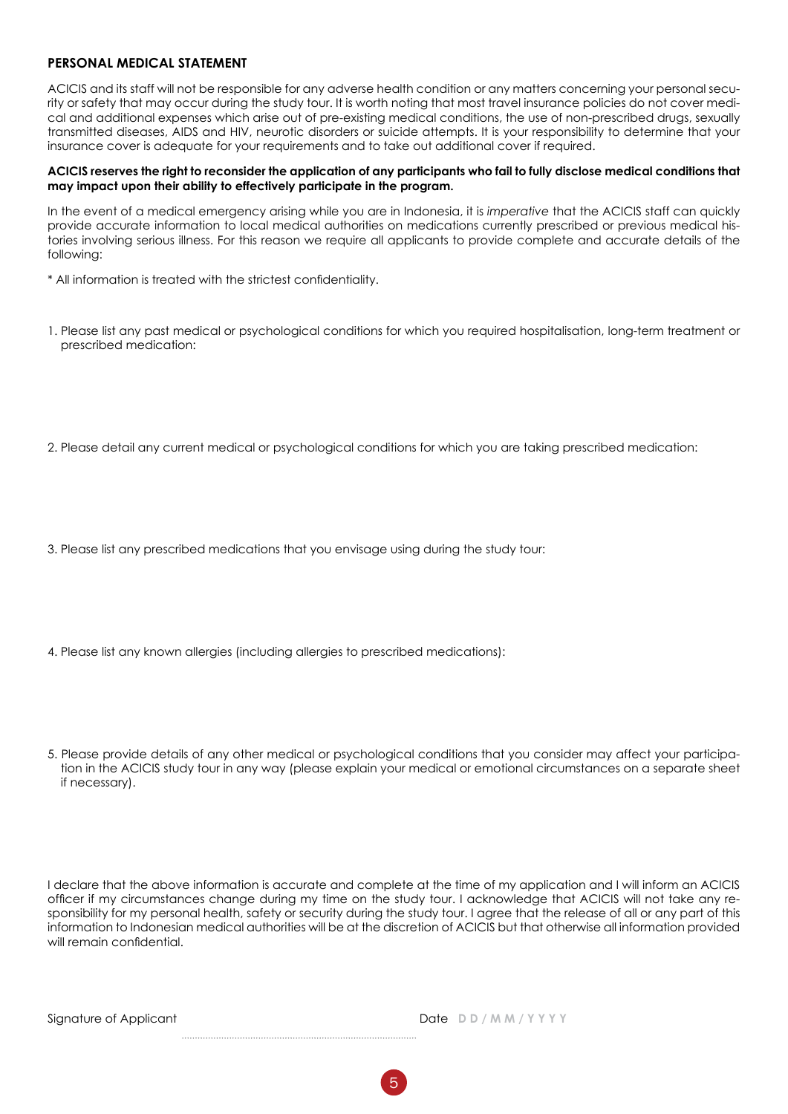#### **PERSONAL MEDICAL STATEMENT**

ACICIS and its staff will not be responsible for any adverse health condition or any matters concerning your personal security or safety that may occur during the study tour. It is worth noting that most travel insurance policies do not cover medical and additional expenses which arise out of pre-existing medical conditions, the use of non-prescribed drugs, sexually transmitted diseases, AIDS and HIV, neurotic disorders or suicide attempts. It is your responsibility to determine that your insurance cover is adequate for your requirements and to take out additional cover if required.

#### **ACICIS reserves the right to reconsider the application of any participants who fail to fully disclose medical conditions that may impact upon their ability to effectively participate in the program.**

In the event of a medical emergency arising while you are in Indonesia, it is *imperative* that the ACICIS staff can quickly provide accurate information to local medical authorities on medications currently prescribed or previous medical histories involving serious illness. For this reason we require all applicants to provide complete and accurate details of the following:

\* All information is treated with the strictest confidentiality.

- 1. Please list any past medical or psychological conditions for which you required hospitalisation, long-term treatment or prescribed medication:
- 2. Please detail any current medical or psychological conditions for which you are taking prescribed medication:
- 3. Please list any prescribed medications that you envisage using during the study tour:
- 4. Please list any known allergies (including allergies to prescribed medications):

5. Please provide details of any other medical or psychological conditions that you consider may affect your participation in the ACICIS study tour in any way (please explain your medical or emotional circumstances on a separate sheet if necessary).

I declare that the above information is accurate and complete at the time of my application and I will inform an ACICIS officer if my circumstances change during my time on the study tour. I acknowledge that ACICIS will not take any responsibility for my personal health, safety or security during the study tour. I agree that the release of all or any part of this information to Indonesian medical authorities will be at the discretion of ACICIS but that otherwise all information provided will remain confidential.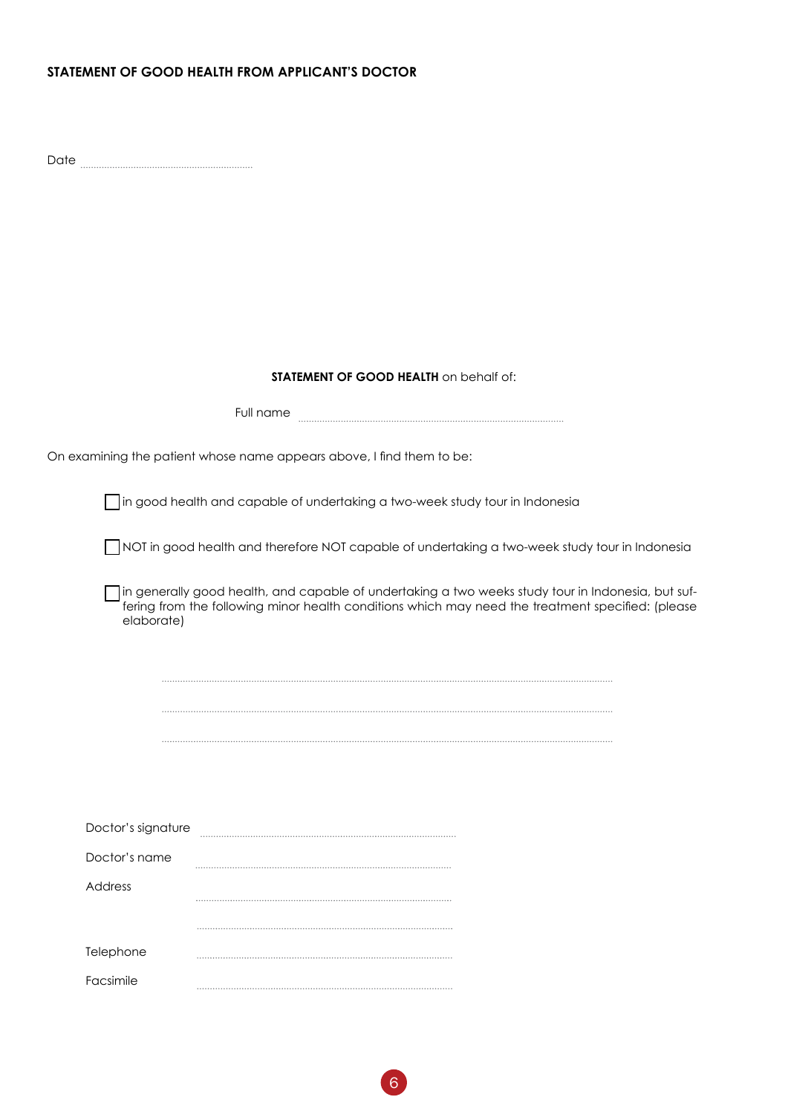#### **STATEMENT OF GOOD HEALTH FROM APPLICANT'S DOCTOR**

Date

#### **STATEMENT OF GOOD HEALTH** on behalf of:

|                    | Full name                                                                                                                                                                                               |
|--------------------|---------------------------------------------------------------------------------------------------------------------------------------------------------------------------------------------------------|
|                    | On examining the patient whose name appears above, I find them to be:                                                                                                                                   |
|                    | in good health and capable of undertaking a two-week study tour in Indonesia                                                                                                                            |
|                    | NOT in good health and therefore NOT capable of undertaking a two-week study tour in Indonesia                                                                                                          |
| elaborate)         | in generally good health, and capable of undertaking a two weeks study tour in Indonesia, but suf-<br>fering from the following minor health conditions which may need the treatment specified: (please |
|                    |                                                                                                                                                                                                         |
|                    |                                                                                                                                                                                                         |
|                    |                                                                                                                                                                                                         |
|                    |                                                                                                                                                                                                         |
|                    |                                                                                                                                                                                                         |
| Doctor's signature |                                                                                                                                                                                                         |
| Doctor's name      |                                                                                                                                                                                                         |
| Address            |                                                                                                                                                                                                         |
|                    |                                                                                                                                                                                                         |
| Telephone          |                                                                                                                                                                                                         |
| Facsimile          |                                                                                                                                                                                                         |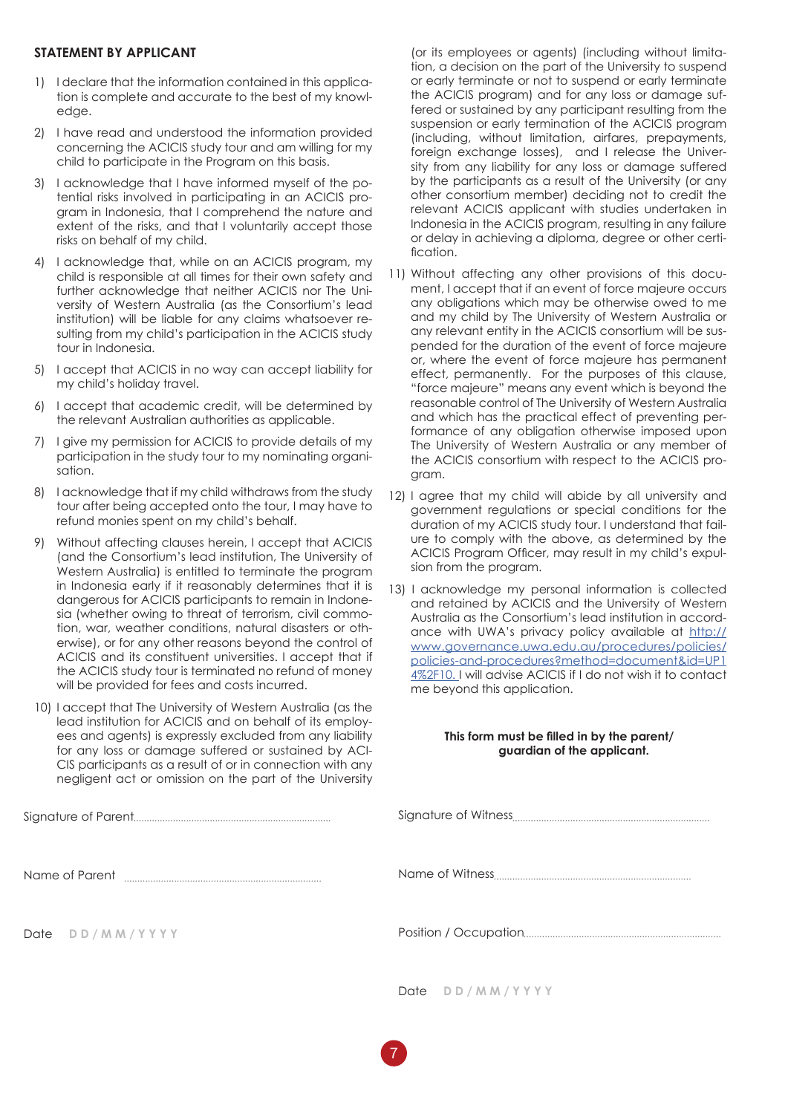#### **STATEMENT BY APPLICANT**

- 1) I declare that the information contained in this application is complete and accurate to the best of my knowledge.
- 2) I have read and understood the information provided concerning the ACICIS study tour and am willing for my child to participate in the Program on this basis.
- 3) I acknowledge that I have informed myself of the potential risks involved in participating in an ACICIS program in Indonesia, that I comprehend the nature and extent of the risks, and that I voluntarily accept those risks on behalf of my child.
- 4) I acknowledge that, while on an ACICIS program, my child is responsible at all times for their own safety and further acknowledge that neither ACICIS nor The University of Western Australia (as the Consortium's lead institution) will be liable for any claims whatsoever resulting from my child's participation in the ACICIS study tour in Indonesia.
- 5) I accept that ACICIS in no way can accept liability for my child's holiday travel.
- 6) I accept that academic credit, will be determined by the relevant Australian authorities as applicable.
- 7) I give my permission for ACICIS to provide details of my participation in the study tour to my nominating organisation.
- 8) I acknowledge that if my child withdraws from the study tour after being accepted onto the tour, I may have to refund monies spent on my child's behalf.
- 9) Without affecting clauses herein, I accept that ACICIS (and the Consortium's lead institution, The University of Western Australia) is entitled to terminate the program in Indonesia early if it reasonably determines that it is dangerous for ACICIS participants to remain in Indonesia (whether owing to threat of terrorism, civil commotion, war, weather conditions, natural disasters or otherwise), or for any other reasons beyond the control of ACICIS and its constituent universities. I accept that if the ACICIS study tour is terminated no refund of money will be provided for fees and costs incurred.
- 10) I accept that The University of Western Australia (as the lead institution for ACICIS and on behalf of its employees and agents) is expressly excluded from any liability for any loss or damage suffered or sustained by ACI-CIS participants as a result of or in connection with any negligent act or omission on the part of the University

Signature of Parent

Name of Parent **manual** manual manual manual manual manual manual manual manual manual manual manual manual manual manual manual manual manual manual manual manual manual manual manual manual manual manual manual manual ma

Date **D D / M M / Y Y Y Y**

(or its employees or agents) (including without limitation, a decision on the part of the University to suspend or early terminate or not to suspend or early terminate the ACICIS program) and for any loss or damage suffered or sustained by any participant resulting from the suspension or early termination of the ACICIS program (including, without limitation, airfares, prepayments, foreign exchange losses), and I release the University from any liability for any loss or damage suffered by the participants as a result of the University (or any other consortium member) deciding not to credit the relevant ACICIS applicant with studies undertaken in Indonesia in the ACICIS program, resulting in any failure or delay in achieving a diploma, degree or other certification.

- 11) Without affecting any other provisions of this document, I accept that if an event of force majeure occurs any obligations which may be otherwise owed to me and my child by The University of Western Australia or any relevant entity in the ACICIS consortium will be suspended for the duration of the event of force majeure or, where the event of force majeure has permanent effect, permanently. For the purposes of this clause, "force majeure" means any event which is beyond the reasonable control of The University of Western Australia and which has the practical effect of preventing performance of any obligation otherwise imposed upon The University of Western Australia or any member of the ACICIS consortium with respect to the ACICIS program.
- 12) I agree that my child will abide by all university and government regulations or special conditions for the duration of my ACICIS study tour. I understand that failure to comply with the above, as determined by the ACICIS Program Officer, may result in my child's expulsion from the program.
- 13) I acknowledge my personal information is collected and retained by ACICIS and the University of Western Australia as the Consortium's lead institution in accordance with UWA's privacy policy available at http:// www.governance.uwa.edu.au/procedures/policies/ policies-and-procedures?method=document&id=UP1 4%2F10. I will advise ACICIS if I do not wish it to contact me beyond this application.

#### **This form must be filled in by the parent/ guardian of the applicant.**

Date **D D / M M / Y Y Y Y**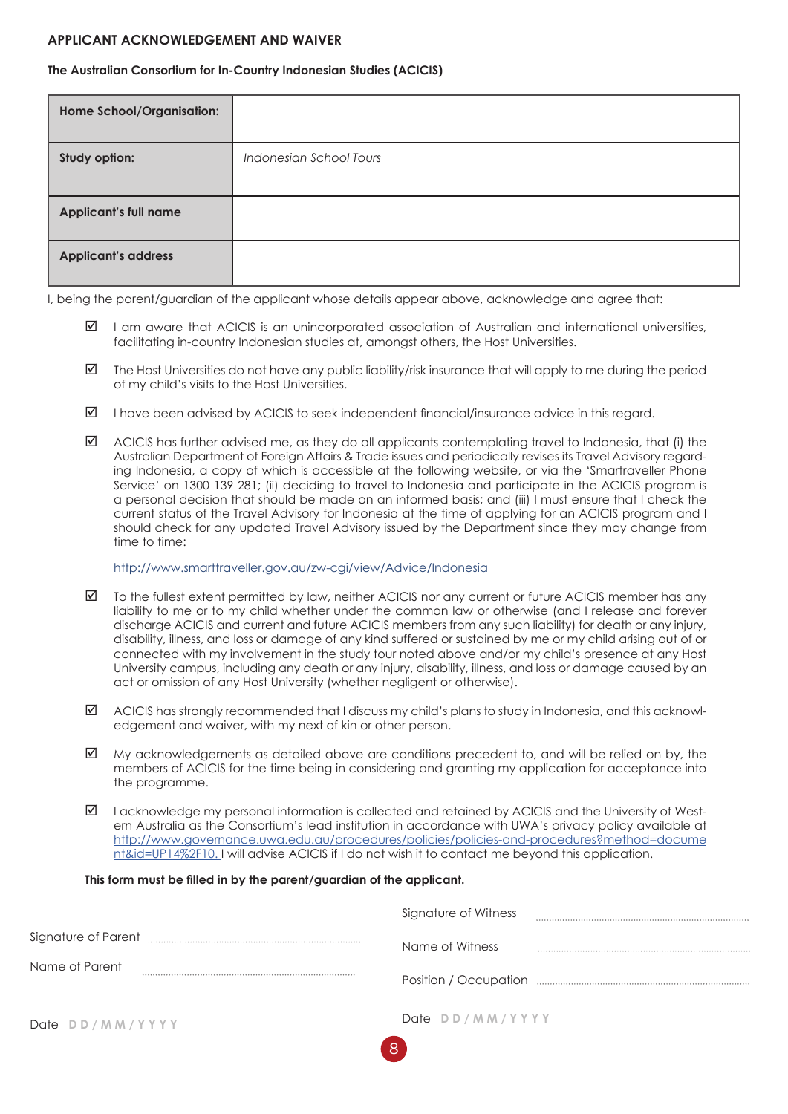#### **APPLICANT ACKNOWLEDGEMENT AND WAIVER**

#### **The Australian Consortium for In-Country Indonesian Studies (ACICIS)**

| Home School/Organisation:    |                         |
|------------------------------|-------------------------|
| Study option:                | Indonesian School Tours |
| <b>Applicant's full name</b> |                         |
| <b>Applicant's address</b>   |                         |

I, being the parent/guardian of the applicant whose details appear above, acknowledge and agree that:

- $\boxtimes$  I am aware that ACICIS is an unincorporated association of Australian and international universities, facilitating in-country Indonesian studies at, amongst others, the Host Universities.
- $\boxtimes$  The Host Universities do not have any public liability/risk insurance that will apply to me during the period of my child's visits to the Host Universities.
- $\boxtimes$  I have been advised by ACICIS to seek independent financial/insurance advice in this regard.
- $\boxtimes$  ACICIS has further advised me, as they do all applicants contemplating travel to Indonesia, that (i) the Australian Department of Foreign Affairs & Trade issues and periodically revises its Travel Advisory regarding Indonesia, a copy of which is accessible at the following website, or via the 'Smartraveller Phone Service' on 1300 139 281; (ii) deciding to travel to Indonesia and participate in the ACICIS program is a personal decision that should be made on an informed basis; and (iii) I must ensure that I check the current status of the Travel Advisory for Indonesia at the time of applying for an ACICIS program and I should check for any updated Travel Advisory issued by the Department since they may change from time to time:

#### http://www.smarttraveller.gov.au/zw-cgi/view/Advice/Indonesia

- $\boxtimes$  To the fullest extent permitted by law, neither ACICIS nor any current or future ACICIS member has any liability to me or to my child whether under the common law or otherwise (and I release and forever discharge ACICIS and current and future ACICIS members from any such liability) for death or any injury, disability, illness, and loss or damage of any kind suffered or sustained by me or my child arising out of or connected with my involvement in the study tour noted above and/or my child's presence at any Host University campus, including any death or any injury, disability, illness, and loss or damage caused by an act or omission of any Host University (whether negligent or otherwise).
- $\boxtimes$  ACICIS has strongly recommended that I discuss my child's plans to study in Indonesia, and this acknowledgement and waiver, with my next of kin or other person.
- $\boxtimes$  My acknowledgements as detailed above are conditions precedent to, and will be relied on by, the members of ACICIS for the time being in considering and granting my application for acceptance into the programme.
- $\boxtimes$  I acknowledge my personal information is collected and retained by ACICIS and the University of Western Australia as the Consortium's lead institution in accordance with UWA's privacy policy available at http://www.governance.uwa.edu.au/procedures/policies/policies-and-procedures?method=docume nt&id=UP14%2F10. I will advise ACICIS if I do not wish it to contact me beyond this application.

#### **This form must be filled in by the parent/guardian of the applicant.**

|                 | Signature of Witness |  |
|-----------------|----------------------|--|
|                 | Name of Witness      |  |
| Name of Parent  |                      |  |
| Date DD/MM/YYYY | Date DD/MM/YYYY      |  |